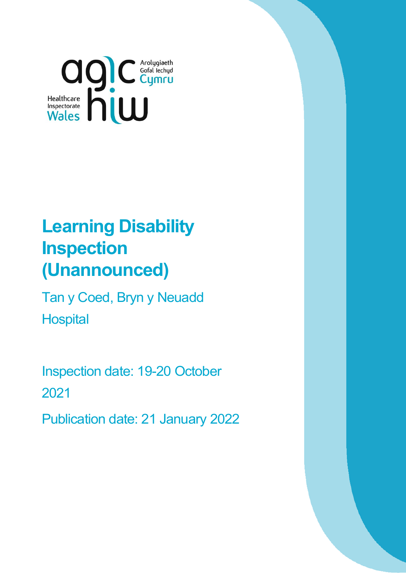

# **Learning Disability Inspection (Unannounced)**

Tan y Coed, Bryn y Neuadd **Hospital** 

Inspection date: 19-20 October 2021

Publication date: 21 January 2022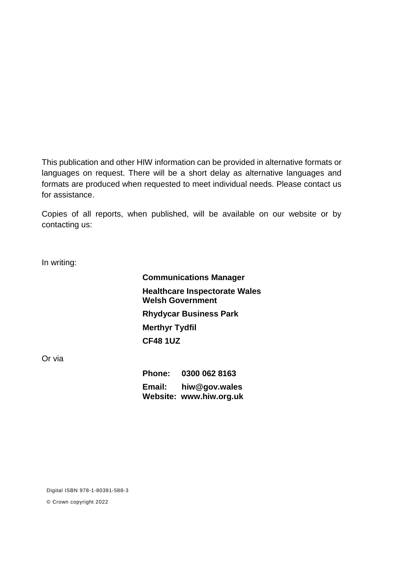This publication and other HIW information can be provided in alternative formats or languages on request. There will be a short delay as alternative languages and formats are produced when requested to meet individual needs. Please contact us for assistance.

Copies of all reports, when published, will be available on our website or by contacting us:

In writing:

**Communications Manager Healthcare Inspectorate Wales Welsh Government Rhydycar Business Park Merthyr Tydfil CF48 1UZ**

Or via

**Phone: 0300 062 8163 Email: [hiw@gov.wales](mailto:hiw@gov.wales) Website: [www.hiw.org.uk](http://www.hiw.org.uk/)**

Digital ISBN 978-1-80391-588-3

© Crown copyright 2022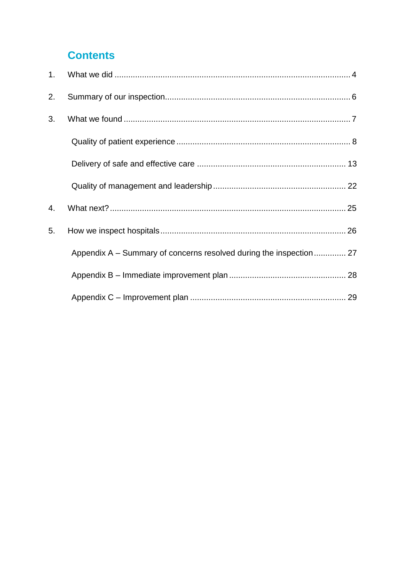## **Contents**

| 1. |                                                                    |  |
|----|--------------------------------------------------------------------|--|
| 2. |                                                                    |  |
| 3. |                                                                    |  |
|    |                                                                    |  |
|    |                                                                    |  |
|    |                                                                    |  |
| 4. |                                                                    |  |
| 5. |                                                                    |  |
|    | Appendix A – Summary of concerns resolved during the inspection 27 |  |
|    |                                                                    |  |
|    |                                                                    |  |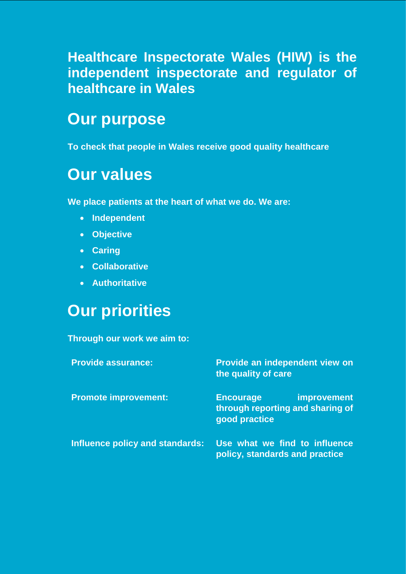## **Healthcare Inspectorate Wales (HIW) is the independent inspectorate and regulator of healthcare in Wales**

# <span id="page-3-0"></span>**Our purpose**

**To check that people in Wales receive good quality healthcare**

# **Our values**

**We place patients at the heart of what we do. We are:**

- **Independent**
- **Objective**
- **Caring**
- **Collaborative**
- **Authoritative**

# **Our priorities**

#### **Through our work we aim to:**

| <b>Provide assurance:</b>       | Provide an independent view on<br>the quality of care                                       |  |  |
|---------------------------------|---------------------------------------------------------------------------------------------|--|--|
| <b>Promote improvement:</b>     | <i>improvement</i><br><b>Encourage</b><br>through reporting and sharing of<br>good practice |  |  |
| Influence policy and standards: | Use what we find to influence<br>policy, standards and practice                             |  |  |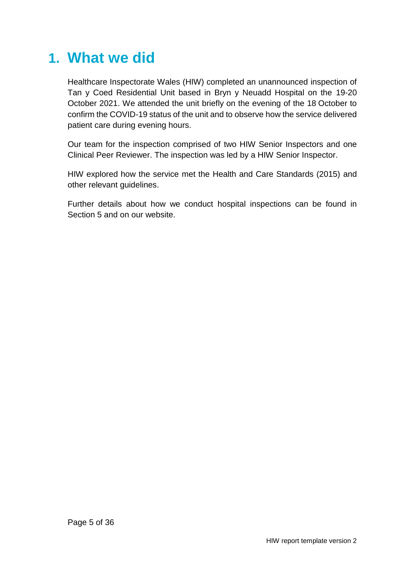# **1. What we did**

Healthcare Inspectorate Wales (HIW) completed an unannounced inspection of Tan y Coed Residential Unit based in Bryn y Neuadd Hospital on the 19-20 October 2021. We attended the unit briefly on the evening of the 18 October to confirm the COVID-19 status of the unit and to observe how the service delivered patient care during evening hours.

Our team for the inspection comprised of two HIW Senior Inspectors and one Clinical Peer Reviewer. The inspection was led by a HIW Senior Inspector.

HIW explored how the service met the Health and Care Standards (2015) and other relevant guidelines.

Further details about how we conduct hospital inspections can be found in Section 5 and on our website.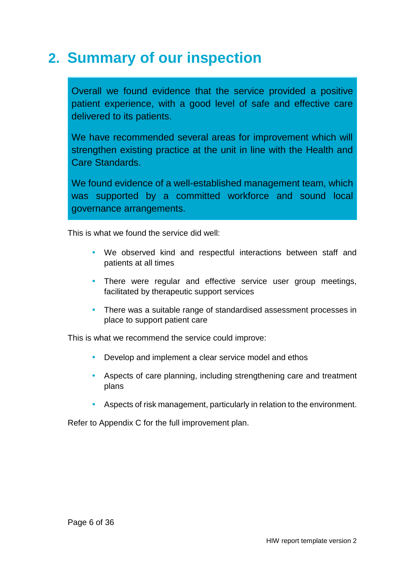# <span id="page-5-0"></span>**2. Summary of our inspection**

Overall we found evidence that the service provided a positive patient experience, with a good level of safe and effective care delivered to its patients.

We have recommended several areas for improvement which will strengthen existing practice at the unit in line with the Health and Care Standards.

We found evidence of a well-established management team, which was supported by a committed workforce and sound local governance arrangements.

This is what we found the service did well:

- We observed kind and respectful interactions between staff and patients at all times
- There were regular and effective service user group meetings, facilitated by therapeutic support services
- There was a suitable range of standardised assessment processes in place to support patient care

This is what we recommend the service could improve:

- Develop and implement a clear service model and ethos
- Aspects of care planning, including strengthening care and treatment plans
- Aspects of risk management, particularly in relation to the environment.

Refer to Appendix C for the full improvement plan.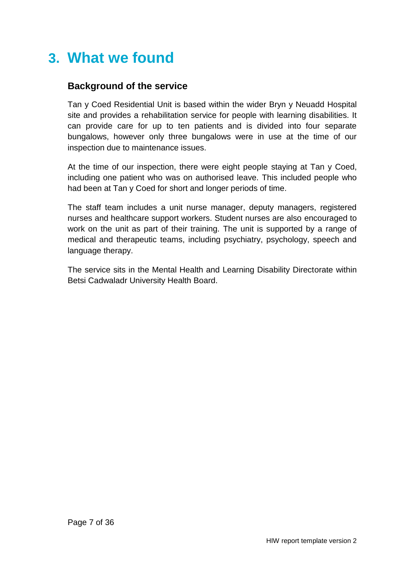# <span id="page-6-0"></span>**3. What we found**

### **Background of the service**

Tan y Coed Residential Unit is based within the wider Bryn y Neuadd Hospital site and provides a rehabilitation service for people with learning disabilities. It can provide care for up to ten patients and is divided into four separate bungalows, however only three bungalows were in use at the time of our inspection due to maintenance issues.

At the time of our inspection, there were eight people staying at Tan y Coed, including one patient who was on authorised leave. This included people who had been at Tan y Coed for short and longer periods of time.

The staff team includes a unit nurse manager, deputy managers, registered nurses and healthcare support workers. Student nurses are also encouraged to work on the unit as part of their training. The unit is supported by a range of medical and therapeutic teams, including psychiatry, psychology, speech and language therapy.

The service sits in the Mental Health and Learning Disability Directorate within Betsi Cadwaladr University Health Board.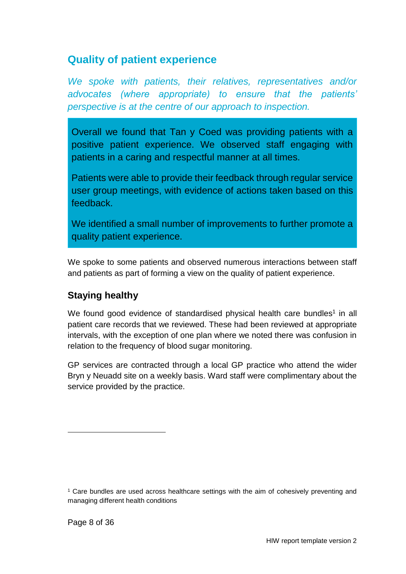## <span id="page-7-0"></span>**Quality of patient experience**

*We spoke with patients, their relatives, representatives and/or advocates (where appropriate) to ensure that the patients' perspective is at the centre of our approach to inspection.*

Overall we found that Tan y Coed was providing patients with a positive patient experience. We observed staff engaging with patients in a caring and respectful manner at all times.

Patients were able to provide their feedback through regular service user group meetings, with evidence of actions taken based on this feedback.

We identified a small number of improvements to further promote a quality patient experience.

We spoke to some patients and observed numerous interactions between staff and patients as part of forming a view on the quality of patient experience.

### **Staying healthy**

We found good evidence of standardised physical health care bundles<sup>1</sup> in all patient care records that we reviewed. These had been reviewed at appropriate intervals, with the exception of one plan where we noted there was confusion in relation to the frequency of blood sugar monitoring.

GP services are contracted through a local GP practice who attend the wider Bryn y Neuadd site on a weekly basis. Ward staff were complimentary about the service provided by the practice.

l

<sup>1</sup> Care bundles are used across healthcare settings with the aim of cohesively preventing and managing different health conditions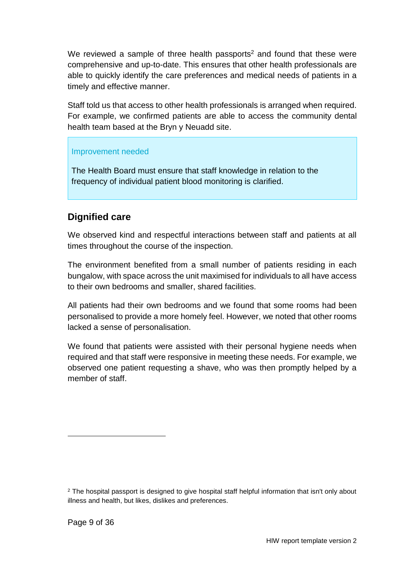We reviewed a sample of three health passports<sup>2</sup> and found that these were comprehensive and up-to-date. This ensures that other health professionals are able to quickly identify the care preferences and medical needs of patients in a timely and effective manner.

Staff told us that access to other health professionals is arranged when required. For example, we confirmed patients are able to access the community dental health team based at the Bryn y Neuadd site.

#### Improvement needed

The Health Board must ensure that staff knowledge in relation to the frequency of individual patient blood monitoring is clarified.

### **Dignified care**

We observed kind and respectful interactions between staff and patients at all times throughout the course of the inspection.

The environment benefited from a small number of patients residing in each bungalow, with space across the unit maximised for individuals to all have access to their own bedrooms and smaller, shared facilities.

All patients had their own bedrooms and we found that some rooms had been personalised to provide a more homely feel. However, we noted that other rooms lacked a sense of personalisation.

We found that patients were assisted with their personal hygiene needs when required and that staff were responsive in meeting these needs. For example, we observed one patient requesting a shave, who was then promptly helped by a member of staff.

l

<sup>&</sup>lt;sup>2</sup> The hospital passport is designed to give hospital staff helpful information that isn't only about illness and health, but likes, dislikes and preferences.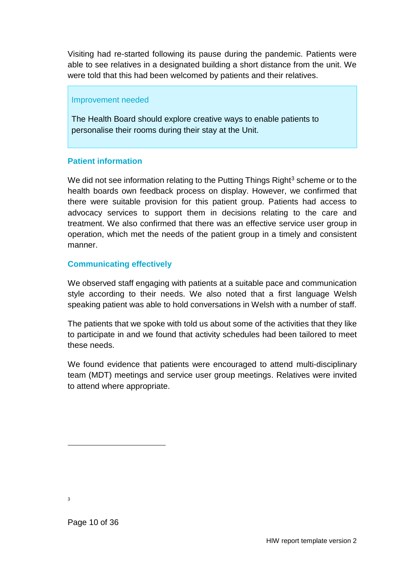Visiting had re-started following its pause during the pandemic. Patients were able to see relatives in a designated building a short distance from the unit. We were told that this had been welcomed by patients and their relatives.

#### Improvement needed

The Health Board should explore creative ways to enable patients to personalise their rooms during their stay at the Unit.

#### **Patient information**

We did not see information relating to the Putting Things Right<sup>3</sup> scheme or to the health boards own feedback process on display. However, we confirmed that there were suitable provision for this patient group. Patients had access to advocacy services to support them in decisions relating to the care and treatment. We also confirmed that there was an effective service user group in operation, which met the needs of the patient group in a timely and consistent manner.

#### **Communicating effectively**

We observed staff engaging with patients at a suitable pace and communication style according to their needs. We also noted that a first language Welsh speaking patient was able to hold conversations in Welsh with a number of staff.

The patients that we spoke with told us about some of the activities that they like to participate in and we found that activity schedules had been tailored to meet these needs.

We found evidence that patients were encouraged to attend multi-disciplinary team (MDT) meetings and service user group meetings. Relatives were invited to attend where appropriate.

3

l

Page 10 of 36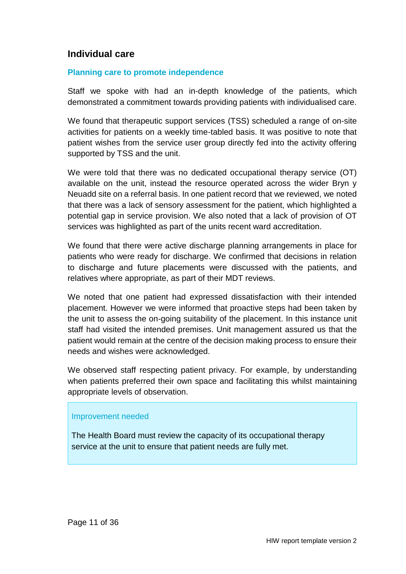### **Individual care**

#### **Planning care to promote independence**

Staff we spoke with had an in-depth knowledge of the patients, which demonstrated a commitment towards providing patients with individualised care.

We found that therapeutic support services (TSS) scheduled a range of on-site activities for patients on a weekly time-tabled basis. It was positive to note that patient wishes from the service user group directly fed into the activity offering supported by TSS and the unit.

We were told that there was no dedicated occupational therapy service (OT) available on the unit, instead the resource operated across the wider Bryn y Neuadd site on a referral basis. In one patient record that we reviewed, we noted that there was a lack of sensory assessment for the patient, which highlighted a potential gap in service provision. We also noted that a lack of provision of OT services was highlighted as part of the units recent ward accreditation.

We found that there were active discharge planning arrangements in place for patients who were ready for discharge. We confirmed that decisions in relation to discharge and future placements were discussed with the patients, and relatives where appropriate, as part of their MDT reviews.

We noted that one patient had expressed dissatisfaction with their intended placement. However we were informed that proactive steps had been taken by the unit to assess the on-going suitability of the placement. In this instance unit staff had visited the intended premises. Unit management assured us that the patient would remain at the centre of the decision making process to ensure their needs and wishes were acknowledged.

We observed staff respecting patient privacy. For example, by understanding when patients preferred their own space and facilitating this whilst maintaining appropriate levels of observation.

#### Improvement needed

The Health Board must review the capacity of its occupational therapy service at the unit to ensure that patient needs are fully met.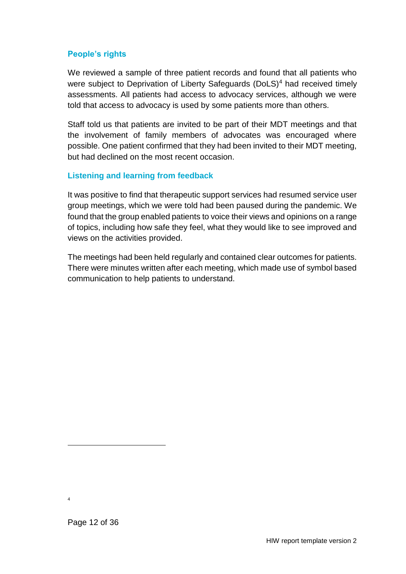#### **People's rights**

We reviewed a sample of three patient records and found that all patients who were subject to Deprivation of Liberty Safeguards (DoLS)<sup>4</sup> had received timely assessments. All patients had access to advocacy services, although we were told that access to advocacy is used by some patients more than others.

Staff told us that patients are invited to be part of their MDT meetings and that the involvement of family members of advocates was encouraged where possible. One patient confirmed that they had been invited to their MDT meeting, but had declined on the most recent occasion.

#### **Listening and learning from feedback**

It was positive to find that therapeutic support services had resumed service user group meetings, which we were told had been paused during the pandemic. We found that the group enabled patients to voice their views and opinions on a range of topics, including how safe they feel, what they would like to see improved and views on the activities provided.

The meetings had been held regularly and contained clear outcomes for patients. There were minutes written after each meeting, which made use of symbol based communication to help patients to understand.

l

<sup>4</sup>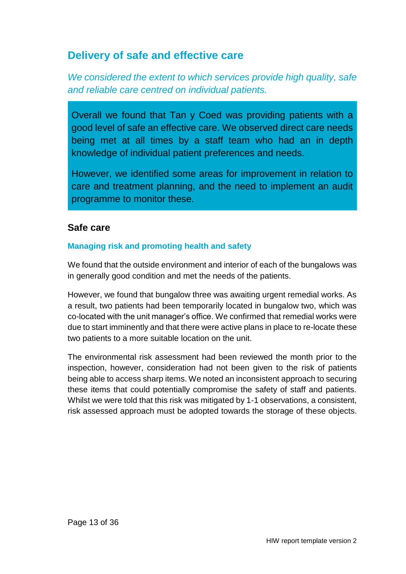## <span id="page-12-0"></span>**Delivery of safe and effective care**

*We considered the extent to which services provide high quality, safe and reliable care centred on individual patients.*

Overall we found that Tan y Coed was providing patients with a good level of safe an effective care. We observed direct care needs being met at all times by a staff team who had an in depth knowledge of individual patient preferences and needs.

However, we identified some areas for improvement in relation to care and treatment planning, and the need to implement an audit programme to monitor these.

#### **Safe care**

#### **Managing risk and promoting health and safety**

We found that the outside environment and interior of each of the bungalows was in generally good condition and met the needs of the patients.

However, we found that bungalow three was awaiting urgent remedial works. As a result, two patients had been temporarily located in bungalow two, which was co-located with the unit manager's office. We confirmed that remedial works were due to start imminently and that there were active plans in place to re-locate these two patients to a more suitable location on the unit.

The environmental risk assessment had been reviewed the month prior to the inspection, however, consideration had not been given to the risk of patients being able to access sharp items. We noted an inconsistent approach to securing these items that could potentially compromise the safety of staff and patients. Whilst we were told that this risk was mitigated by 1-1 observations, a consistent, risk assessed approach must be adopted towards the storage of these objects.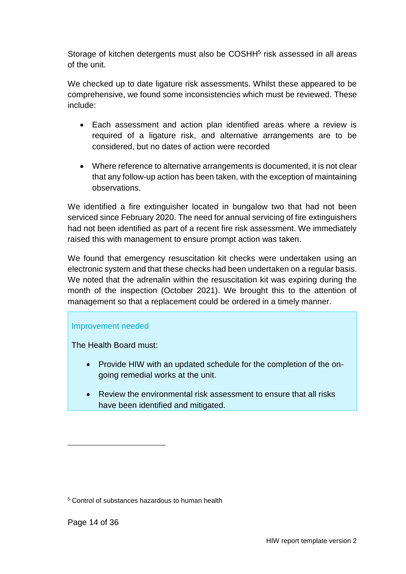Storage of kitchen detergents must also be COSHH<sup>5</sup> risk assessed in all areas of the unit.

We checked up to date ligature risk assessments. Whilst these appeared to be comprehensive, we found some inconsistencies which must be reviewed. These include:

- Each assessment and action plan identified areas where a review is required of a ligature risk, and alternative arrangements are to be considered, but no dates of action were recorded
- Where reference to alternative arrangements is documented, it is not clear that any follow-up action has been taken, with the exception of maintaining observations.

We identified a fire extinguisher located in bungalow two that had not been serviced since February 2020. The need for annual servicing of fire extinguishers had not been identified as part of a recent fire risk assessment. We immediately raised this with management to ensure prompt action was taken.

We found that emergency resuscitation kit checks were undertaken using an electronic system and that these checks had been undertaken on a regular basis. We noted that the adrenalin within the resuscitation kit was expiring during the month of the inspection (October 2021). We brought this to the attention of management so that a replacement could be ordered in a timely manner.

#### Improvement needed

The Health Board must:

- Provide HIW with an updated schedule for the completion of the ongoing remedial works at the unit.
- Review the environmental risk assessment to ensure that all risks have been identified and mitigated.

l

<sup>5</sup> Control of substances hazardous to human health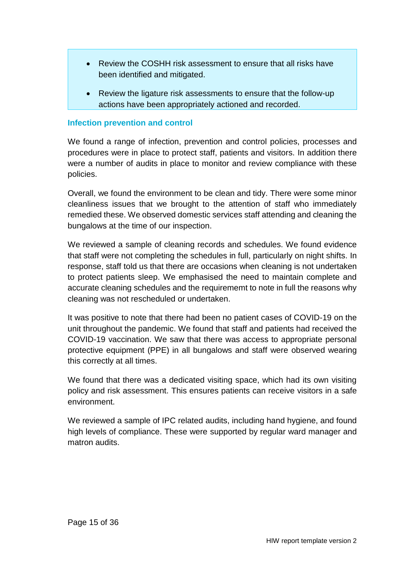- Review the COSHH risk assessment to ensure that all risks have been identified and mitigated.
- Review the ligature risk assessments to ensure that the follow-up actions have been appropriately actioned and recorded.

#### **Infection prevention and control**

We found a range of infection, prevention and control policies, processes and procedures were in place to protect staff, patients and visitors. In addition there were a number of audits in place to monitor and review compliance with these policies.

Overall, we found the environment to be clean and tidy. There were some minor cleanliness issues that we brought to the attention of staff who immediately remedied these. We observed domestic services staff attending and cleaning the bungalows at the time of our inspection.

We reviewed a sample of cleaning records and schedules. We found evidence that staff were not completing the schedules in full, particularly on night shifts. In response, staff told us that there are occasions when cleaning is not undertaken to protect patients sleep. We emphasised the need to maintain complete and accurate cleaning schedules and the requirememt to note in full the reasons why cleaning was not rescheduled or undertaken.

It was positive to note that there had been no patient cases of COVID-19 on the unit throughout the pandemic. We found that staff and patients had received the COVID-19 vaccination. We saw that there was access to appropriate personal protective equipment (PPE) in all bungalows and staff were observed wearing this correctly at all times.

We found that there was a dedicated visiting space, which had its own visiting policy and risk assessment. This ensures patients can receive visitors in a safe environment.

We reviewed a sample of IPC related audits, including hand hygiene, and found high levels of compliance. These were supported by regular ward manager and matron audits.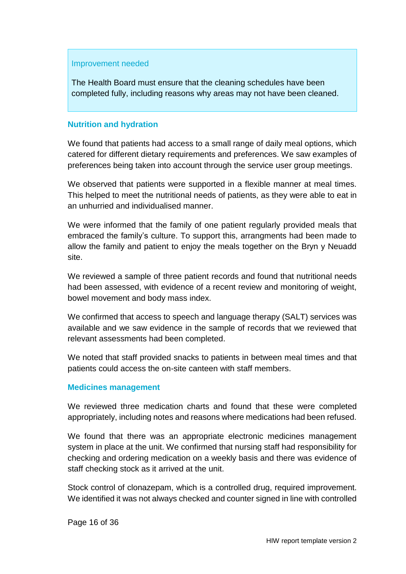#### Improvement needed

The Health Board must ensure that the cleaning schedules have been completed fully, including reasons why areas may not have been cleaned.

#### **Nutrition and hydration**

We found that patients had access to a small range of daily meal options, which catered for different dietary requirements and preferences. We saw examples of preferences being taken into account through the service user group meetings.

We observed that patients were supported in a flexible manner at meal times. This helped to meet the nutritional needs of patients, as they were able to eat in an unhurried and individualised manner.

We were informed that the family of one patient regularly provided meals that embraced the family's culture. To support this, arrangments had been made to allow the family and patient to enjoy the meals together on the Bryn y Neuadd site.

We reviewed a sample of three patient records and found that nutritional needs had been assessed, with evidence of a recent review and monitoring of weight, bowel movement and body mass index.

We confirmed that access to speech and language therapy (SALT) services was available and we saw evidence in the sample of records that we reviewed that relevant assessments had been completed.

We noted that staff provided snacks to patients in between meal times and that patients could access the on-site canteen with staff members.

#### **Medicines management**

We reviewed three medication charts and found that these were completed appropriately, including notes and reasons where medications had been refused.

We found that there was an appropriate electronic medicines management system in place at the unit. We confirmed that nursing staff had responsibility for checking and ordering medication on a weekly basis and there was evidence of staff checking stock as it arrived at the unit.

Stock control of clonazepam, which is a controlled drug, required improvement. We identified it was not always checked and counter signed in line with controlled

Page 16 of 36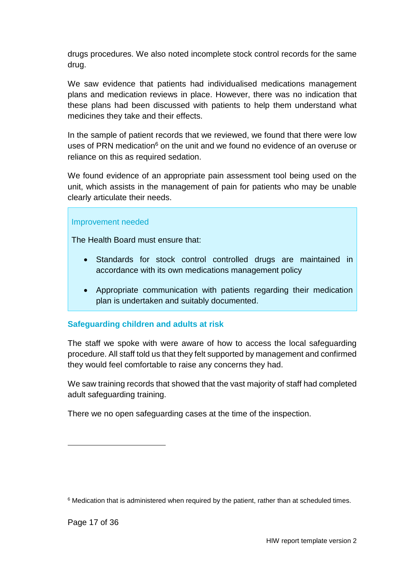drugs procedures. We also noted incomplete stock control records for the same drug.

We saw evidence that patients had individualised medications management plans and medication reviews in place. However, there was no indication that these plans had been discussed with patients to help them understand what medicines they take and their effects.

In the sample of patient records that we reviewed, we found that there were low uses of PRN medication<sup>6</sup> on the unit and we found no evidence of an overuse or reliance on this as required sedation.

We found evidence of an appropriate pain assessment tool being used on the unit, which assists in the management of pain for patients who may be unable clearly articulate their needs.

#### Improvement needed

The Health Board must ensure that:

- Standards for stock control controlled drugs are maintained in accordance with its own medications management policy
- Appropriate communication with patients regarding their medication plan is undertaken and suitably documented.

#### **Safeguarding children and adults at risk**

The staff we spoke with were aware of how to access the local safeguarding procedure. All staff told us that they felt supported by management and confirmed they would feel comfortable to raise any concerns they had.

We saw training records that showed that the vast majority of staff had completed adult safeguarding training.

There we no open safeguarding cases at the time of the inspection.

l

 $6$  Medication that is administered when required by the patient, rather than at scheduled times.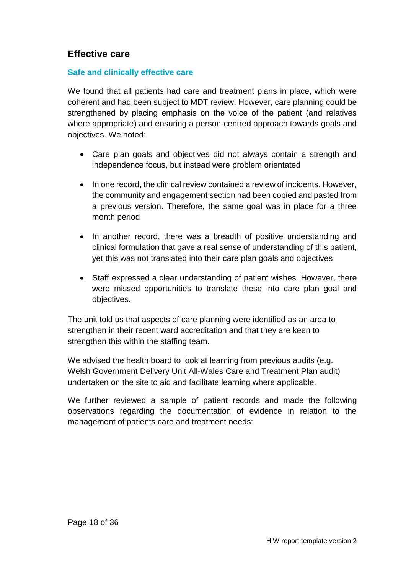### **Effective care**

#### **Safe and clinically effective care**

We found that all patients had care and treatment plans in place, which were coherent and had been subject to MDT review. However, care planning could be strengthened by placing emphasis on the voice of the patient (and relatives where appropriate) and ensuring a person-centred approach towards goals and objectives. We noted:

- Care plan goals and objectives did not always contain a strength and independence focus, but instead were problem orientated
- In one record, the clinical review contained a review of incidents. However, the community and engagement section had been copied and pasted from a previous version. Therefore, the same goal was in place for a three month period
- In another record, there was a breadth of positive understanding and clinical formulation that gave a real sense of understanding of this patient, yet this was not translated into their care plan goals and objectives
- Staff expressed a clear understanding of patient wishes. However, there were missed opportunities to translate these into care plan goal and objectives.

The unit told us that aspects of care planning were identified as an area to strengthen in their recent ward accreditation and that they are keen to strengthen this within the staffing team.

We advised the health board to look at learning from previous audits (e.g. Welsh Government Delivery Unit All-Wales Care and Treatment Plan audit) undertaken on the site to aid and facilitate learning where applicable.

We further reviewed a sample of patient records and made the following observations regarding the documentation of evidence in relation to the management of patients care and treatment needs: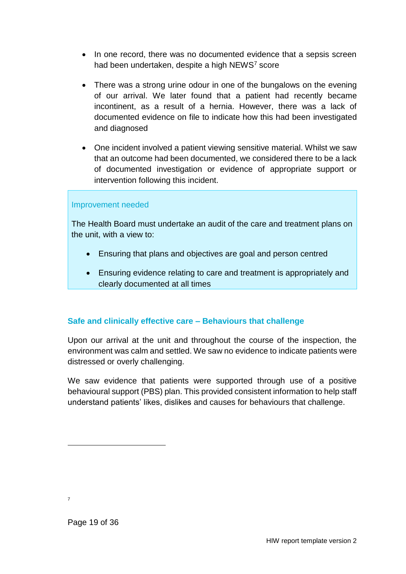- In one record, there was no documented evidence that a sepsis screen had been undertaken, despite a high NEWS<sup>7</sup> score
- There was a strong urine odour in one of the bungalows on the evening of our arrival. We later found that a patient had recently became incontinent, as a result of a hernia. However, there was a lack of documented evidence on file to indicate how this had been investigated and diagnosed
- One incident involved a patient viewing sensitive material. Whilst we saw that an outcome had been documented, we considered there to be a lack of documented investigation or evidence of appropriate support or intervention following this incident.

#### Improvement needed

The Health Board must undertake an audit of the care and treatment plans on the unit, with a view to:

- Ensuring that plans and objectives are goal and person centred
- Ensuring evidence relating to care and treatment is appropriately and clearly documented at all times

#### **Safe and clinically effective care – Behaviours that challenge**

Upon our arrival at the unit and throughout the course of the inspection, the environment was calm and settled. We saw no evidence to indicate patients were distressed or overly challenging.

We saw evidence that patients were supported through use of a positive behavioural support (PBS) plan. This provided consistent information to help staff understand patients' likes, dislikes and causes for behaviours that challenge.

7

l

Page 19 of 36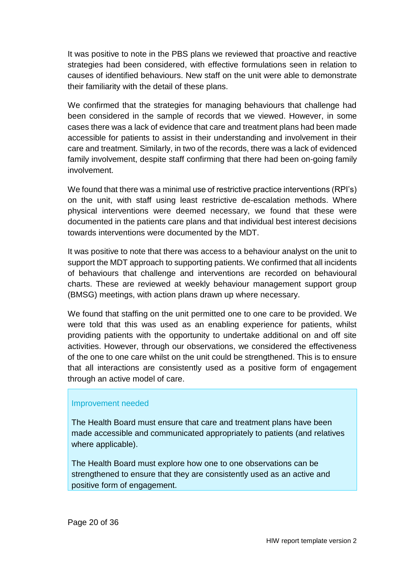It was positive to note in the PBS plans we reviewed that proactive and reactive strategies had been considered, with effective formulations seen in relation to causes of identified behaviours. New staff on the unit were able to demonstrate their familiarity with the detail of these plans.

We confirmed that the strategies for managing behaviours that challenge had been considered in the sample of records that we viewed. However, in some cases there was a lack of evidence that care and treatment plans had been made accessible for patients to assist in their understanding and involvement in their care and treatment. Similarly, in two of the records, there was a lack of evidenced family involvement, despite staff confirming that there had been on-going family involvement.

We found that there was a minimal use of restrictive practice interventions (RPI's) on the unit, with staff using least restrictive de-escalation methods. Where physical interventions were deemed necessary, we found that these were documented in the patients care plans and that individual best interest decisions towards interventions were documented by the MDT.

It was positive to note that there was access to a behaviour analyst on the unit to support the MDT approach to supporting patients. We confirmed that all incidents of behaviours that challenge and interventions are recorded on behavioural charts. These are reviewed at weekly behaviour management support group (BMSG) meetings, with action plans drawn up where necessary.

We found that staffing on the unit permitted one to one care to be provided. We were told that this was used as an enabling experience for patients, whilst providing patients with the opportunity to undertake additional on and off site activities. However, through our observations, we considered the effectiveness of the one to one care whilst on the unit could be strengthened. This is to ensure that all interactions are consistently used as a positive form of engagement through an active model of care.

#### Improvement needed

The Health Board must ensure that care and treatment plans have been made accessible and communicated appropriately to patients (and relatives where applicable).

The Health Board must explore how one to one observations can be strengthened to ensure that they are consistently used as an active and positive form of engagement.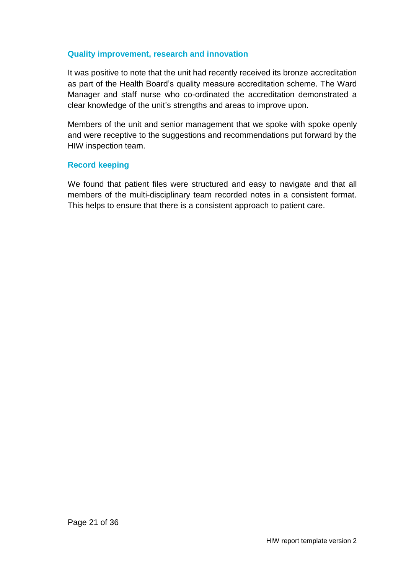#### **Quality improvement, research and innovation**

It was positive to note that the unit had recently received its bronze accreditation as part of the Health Board's quality measure accreditation scheme. The Ward Manager and staff nurse who co-ordinated the accreditation demonstrated a clear knowledge of the unit's strengths and areas to improve upon.

Members of the unit and senior management that we spoke with spoke openly and were receptive to the suggestions and recommendations put forward by the HIW inspection team.

#### **Record keeping**

We found that patient files were structured and easy to navigate and that all members of the multi-disciplinary team recorded notes in a consistent format. This helps to ensure that there is a consistent approach to patient care.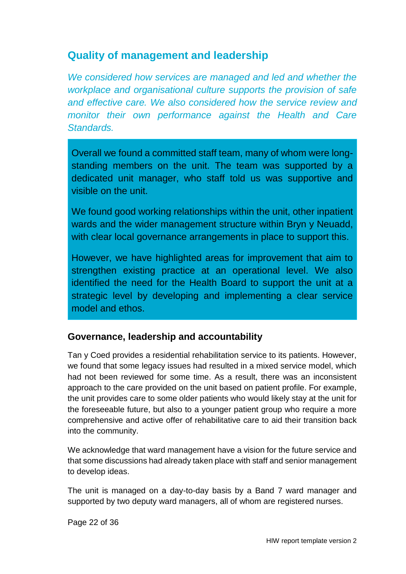## <span id="page-21-0"></span>**Quality of management and leadership**

*We considered how services are managed and led and whether the workplace and organisational culture supports the provision of safe and effective care. We also considered how the service review and monitor their own performance against the Health and Care Standards.*

Overall we found a committed staff team, many of whom were longstanding members on the unit. The team was supported by a dedicated unit manager, who staff told us was supportive and visible on the unit.

We found good working relationships within the unit, other inpatient wards and the wider management structure within Bryn y Neuadd, with clear local governance arrangements in place to support this.

However, we have highlighted areas for improvement that aim to strengthen existing practice at an operational level. We also identified the need for the Health Board to support the unit at a strategic level by developing and implementing a clear service model and ethos.

### **Governance, leadership and accountability**

Tan y Coed provides a residential rehabilitation service to its patients. However, we found that some legacy issues had resulted in a mixed service model, which had not been reviewed for some time. As a result, there was an inconsistent approach to the care provided on the unit based on patient profile. For example, the unit provides care to some older patients who would likely stay at the unit for the foreseeable future, but also to a younger patient group who require a more comprehensive and active offer of rehabilitative care to aid their transition back into the community.

We acknowledge that ward management have a vision for the future service and that some discussions had already taken place with staff and senior management to develop ideas.

The unit is managed on a day-to-day basis by a Band 7 ward manager and supported by two deputy ward managers, all of whom are registered nurses.

Page 22 of 36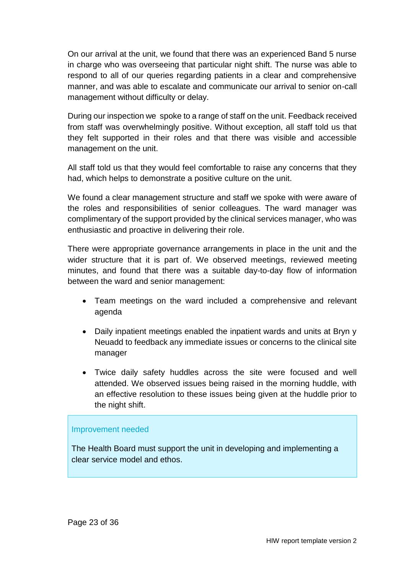On our arrival at the unit, we found that there was an experienced Band 5 nurse in charge who was overseeing that particular night shift. The nurse was able to respond to all of our queries regarding patients in a clear and comprehensive manner, and was able to escalate and communicate our arrival to senior on-call management without difficulty or delay.

During our inspection we spoke to a range of staff on the unit. Feedback received from staff was overwhelmingly positive. Without exception, all staff told us that they felt supported in their roles and that there was visible and accessible management on the unit.

All staff told us that they would feel comfortable to raise any concerns that they had, which helps to demonstrate a positive culture on the unit.

We found a clear management structure and staff we spoke with were aware of the roles and responsibilities of senior colleagues. The ward manager was complimentary of the support provided by the clinical services manager, who was enthusiastic and proactive in delivering their role.

There were appropriate governance arrangements in place in the unit and the wider structure that it is part of. We observed meetings, reviewed meeting minutes, and found that there was a suitable day-to-day flow of information between the ward and senior management:

- Team meetings on the ward included a comprehensive and relevant agenda
- Daily inpatient meetings enabled the inpatient wards and units at Bryn y Neuadd to feedback any immediate issues or concerns to the clinical site manager
- Twice daily safety huddles across the site were focused and well attended. We observed issues being raised in the morning huddle, with an effective resolution to these issues being given at the huddle prior to the night shift.

#### Improvement needed

The Health Board must support the unit in developing and implementing a clear service model and ethos.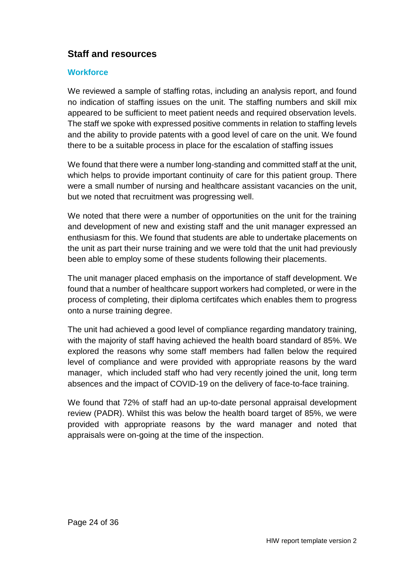### **Staff and resources**

#### **Workforce**

We reviewed a sample of staffing rotas, including an analysis report, and found no indication of staffing issues on the unit. The staffing numbers and skill mix appeared to be sufficient to meet patient needs and required observation levels. The staff we spoke with expressed positive comments in relation to staffing levels and the ability to provide patents with a good level of care on the unit. We found there to be a suitable process in place for the escalation of staffing issues

We found that there were a number long-standing and committed staff at the unit, which helps to provide important continuity of care for this patient group. There were a small number of nursing and healthcare assistant vacancies on the unit, but we noted that recruitment was progressing well.

We noted that there were a number of opportunities on the unit for the training and development of new and existing staff and the unit manager expressed an enthusiasm for this. We found that students are able to undertake placements on the unit as part their nurse training and we were told that the unit had previously been able to employ some of these students following their placements.

The unit manager placed emphasis on the importance of staff development. We found that a number of healthcare support workers had completed, or were in the process of completing, their diploma certifcates which enables them to progress onto a nurse training degree.

The unit had achieved a good level of compliance regarding mandatory training, with the majority of staff having achieved the health board standard of 85%. We explored the reasons why some staff members had fallen below the required level of compliance and were provided with appropriate reasons by the ward manager, which included staff who had very recently joined the unit, long term absences and the impact of COVID-19 on the delivery of face-to-face training.

We found that 72% of staff had an up-to-date personal appraisal development review (PADR). Whilst this was below the health board target of 85%, we were provided with appropriate reasons by the ward manager and noted that appraisals were on-going at the time of the inspection.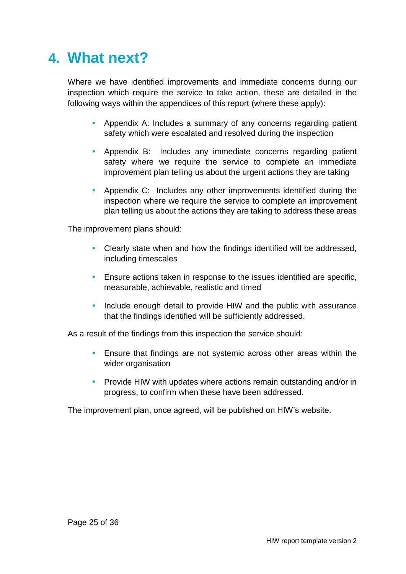# <span id="page-24-0"></span>**4. What next?**

Where we have identified improvements and immediate concerns during our inspection which require the service to take action, these are detailed in the following ways within the appendices of this report (where these apply):

- Appendix A: Includes a summary of any concerns regarding patient safety which were escalated and resolved during the inspection
- Appendix B: Includes any immediate concerns regarding patient safety where we require the service to complete an immediate improvement plan telling us about the urgent actions they are taking
- Appendix C: Includes any other improvements identified during the inspection where we require the service to complete an improvement plan telling us about the actions they are taking to address these areas

The improvement plans should:

- Clearly state when and how the findings identified will be addressed, including timescales
- Ensure actions taken in response to the issues identified are specific, measurable, achievable, realistic and timed
- Include enough detail to provide HIW and the public with assurance that the findings identified will be sufficiently addressed.

As a result of the findings from this inspection the service should:

- Ensure that findings are not systemic across other areas within the wider organisation
- Provide HIW with updates where actions remain outstanding and/or in progress, to confirm when these have been addressed.

The improvement plan, once agreed, will be published on HIW's website.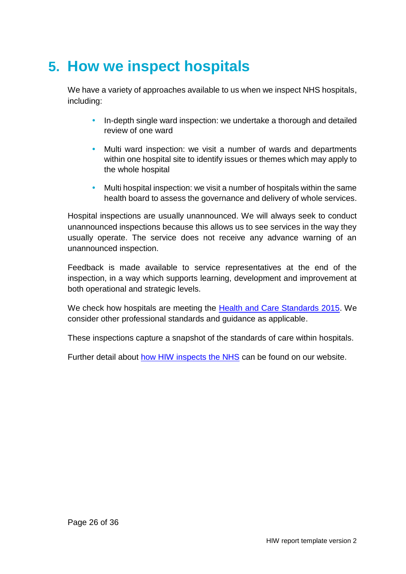# <span id="page-25-0"></span>**5. How we inspect hospitals**

We have a variety of approaches available to us when we inspect NHS hospitals, including:

- In-depth single ward inspection: we undertake a thorough and detailed review of one ward
- Multi ward inspection: we visit a number of wards and departments within one hospital site to identify issues or themes which may apply to the whole hospital
- Multi hospital inspection: we visit a number of hospitals within the same health board to assess the governance and delivery of whole services.

Hospital inspections are usually unannounced. We will always seek to conduct unannounced inspections because this allows us to see services in the way they usually operate. The service does not receive any advance warning of an unannounced inspection.

Feedback is made available to service representatives at the end of the inspection, in a way which supports learning, development and improvement at both operational and strategic levels.

We check how hospitals are meeting the **Health and Care Standards 2015**. We consider other professional standards and guidance as applicable.

These inspections capture a snapshot of the standards of care within hospitals.

Further detail about [how HIW inspects the NHS](https://hiw.org.uk/sites/default/files/2019-05/170328inspectnhsen_0.pdf) can be found on our website.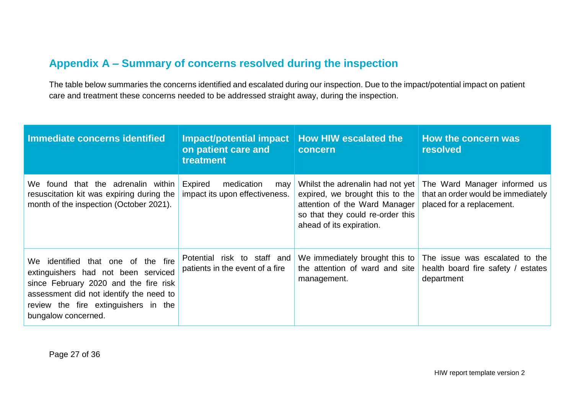## **Appendix A – Summary of concerns resolved during the inspection**

The table below summaries the concerns identified and escalated during our inspection. Due to the impact/potential impact on patient care and treatment these concerns needed to be addressed straight away, during the inspection.

<span id="page-26-0"></span>

| Immediate concerns identified                                                                                                                                                                                                | <b>Impact/potential impact</b><br>on patient care and<br>treatment | <b>How HIW escalated the</b><br>concern                                                                                                                              | How the concern was<br>resolved                                                                 |
|------------------------------------------------------------------------------------------------------------------------------------------------------------------------------------------------------------------------------|--------------------------------------------------------------------|----------------------------------------------------------------------------------------------------------------------------------------------------------------------|-------------------------------------------------------------------------------------------------|
| We found that the adrenalin within<br>resuscitation kit was expiring during the<br>month of the inspection (October 2021).                                                                                                   | Expired<br>medication<br>may<br>impact its upon effectiveness.     | Whilst the adrenalin had not yet<br>expired, we brought this to the<br>attention of the Ward Manager<br>so that they could re-order this<br>ahead of its expiration. | The Ward Manager informed us<br>that an order would be immediately<br>placed for a replacement. |
| We identified that one of the fire<br>extinguishers had not been serviced<br>since February 2020 and the fire risk<br>assessment did not identify the need to<br>review the fire extinguishers in the<br>bungalow concerned. | Potential risk to staff and<br>patients in the event of a fire     | We immediately brought this to<br>the attention of ward and site<br>management.                                                                                      | The issue was escalated to the<br>health board fire safety / estates<br>department              |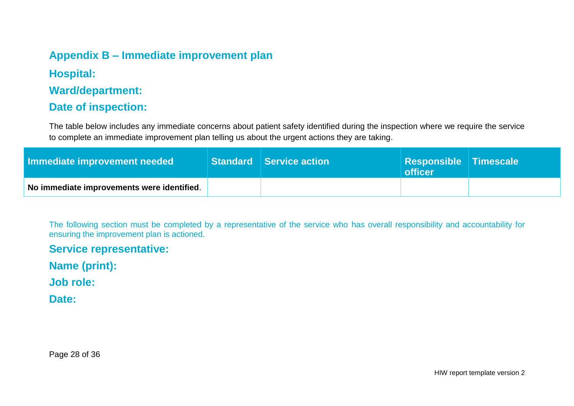## **Appendix B – Immediate improvement plan**

**Hospital:**

**Ward/department:**

### **Date of inspection:**

The table below includes any immediate concerns about patient safety identified during the inspection where we require the service to complete an immediate improvement plan telling us about the urgent actions they are taking.

| Immediate improvement needed               | $\mid$ Standard $\mid$ Service action $\mid$ | <b>Responsible Timescale</b><br><b>officer</b> |  |
|--------------------------------------------|----------------------------------------------|------------------------------------------------|--|
| No immediate improvements were identified. |                                              |                                                |  |

<span id="page-27-0"></span>The following section must be completed by a representative of the service who has overall responsibility and accountability for ensuring the improvement plan is actioned.

**Service representative:** 

**Name (print):** 

**Job role:** 

**Date:** 

Page 28 of 36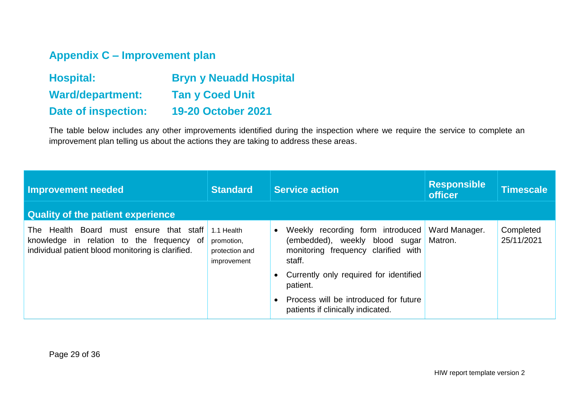## **Appendix C – Improvement plan**

| <b>Hospital:</b>           | <b>Bryn y Neuadd Hospital</b> |
|----------------------------|-------------------------------|
| <b>Ward/department:</b>    | <b>Tan y Coed Unit</b>        |
| <b>Date of inspection:</b> | <b>19-20 October 2021</b>     |

The table below includes any other improvements identified during the inspection where we require the service to complete an improvement plan telling us about the actions they are taking to address these areas.

<span id="page-28-0"></span>

| <b>Improvement needed</b>                                                                                                                 | <b>Standard</b>                                           | <b>Service action</b>                                                                                               | <b>Responsible</b><br><b>officer</b> | Timescale               |
|-------------------------------------------------------------------------------------------------------------------------------------------|-----------------------------------------------------------|---------------------------------------------------------------------------------------------------------------------|--------------------------------------|-------------------------|
| <b>Quality of the patient experience</b>                                                                                                  |                                                           |                                                                                                                     |                                      |                         |
| The Health Board must ensure that staff<br>knowledge in relation to the frequency of<br>individual patient blood monitoring is clarified. | 1.1 Health<br>promotion,<br>protection and<br>improvement | Weekly recording form introduced<br>(embedded), weekly blood sugar<br>monitoring frequency clarified with<br>staff. | Ward Manager.<br>Matron.             | Completed<br>25/11/2021 |
|                                                                                                                                           |                                                           | Currently only required for identified<br>patient.                                                                  |                                      |                         |
|                                                                                                                                           |                                                           | Process will be introduced for future<br>patients if clinically indicated.                                          |                                      |                         |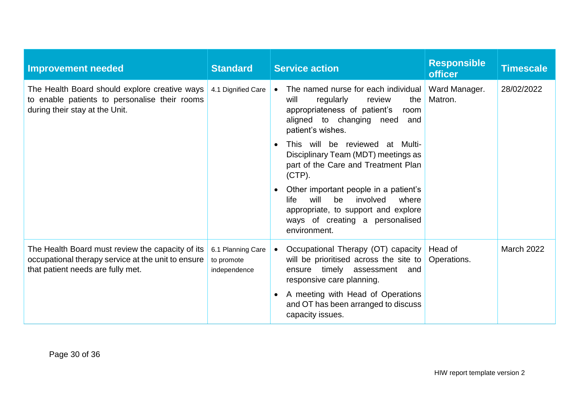| <b>Improvement needed</b>                                                                                                                   | <b>Standard</b>                                 | <b>Responsible</b><br><b>Service action</b><br><b>officer</b>                                                                                                                                         | <b>Timescale</b>  |
|---------------------------------------------------------------------------------------------------------------------------------------------|-------------------------------------------------|-------------------------------------------------------------------------------------------------------------------------------------------------------------------------------------------------------|-------------------|
| The Health Board should explore creative ways<br>to enable patients to personalise their rooms<br>during their stay at the Unit.            | 4.1 Dignified Care                              | The named nurse for each individual<br>Ward Manager.<br>Matron.<br>regularly<br>the<br>will<br>review<br>appropriateness of patient's<br>room<br>aligned to changing need<br>and<br>patient's wishes. | 28/02/2022        |
|                                                                                                                                             |                                                 | This will be reviewed at Multi-<br>Disciplinary Team (MDT) meetings as<br>part of the Care and Treatment Plan<br>$(CTP)$ .                                                                            |                   |
|                                                                                                                                             |                                                 | Other important people in a patient's<br>life<br>will<br>involved<br>where<br>be<br>appropriate, to support and explore<br>ways of creating a personalised<br>environment.                            |                   |
| The Health Board must review the capacity of its<br>occupational therapy service at the unit to ensure<br>that patient needs are fully met. | 6.1 Planning Care<br>to promote<br>independence | Occupational Therapy (OT) capacity<br>Head of<br>will be prioritised across the site to<br>Operations.<br>timely assessment and<br>ensure<br>responsive care planning.                                | <b>March 2022</b> |
|                                                                                                                                             |                                                 | A meeting with Head of Operations<br>and OT has been arranged to discuss<br>capacity issues.                                                                                                          |                   |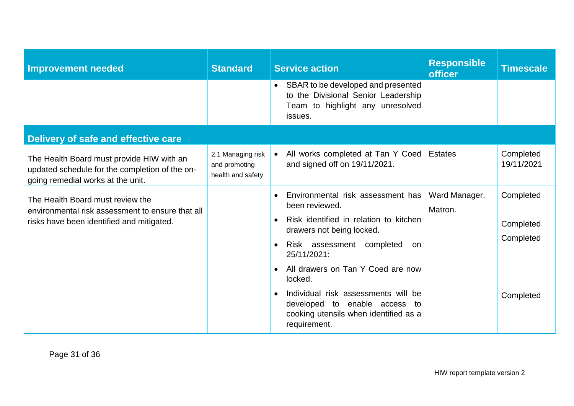| <b>Improvement needed</b>                                                                                                         | <b>Standard</b>                                         | <b>Responsible</b><br><b>Service action</b><br><b>officer</b>                                                                                                                                                                                                                                                | <b>Timescale</b>                    |
|-----------------------------------------------------------------------------------------------------------------------------------|---------------------------------------------------------|--------------------------------------------------------------------------------------------------------------------------------------------------------------------------------------------------------------------------------------------------------------------------------------------------------------|-------------------------------------|
|                                                                                                                                   |                                                         | • SBAR to be developed and presented<br>to the Divisional Senior Leadership<br>Team to highlight any unresolved<br>issues.                                                                                                                                                                                   |                                     |
| Delivery of safe and effective care                                                                                               |                                                         |                                                                                                                                                                                                                                                                                                              |                                     |
| The Health Board must provide HIW with an<br>updated schedule for the completion of the on-<br>going remedial works at the unit.  | 2.1 Managing risk<br>and promoting<br>health and safety | All works completed at Tan Y Coed<br><b>Estates</b><br>and signed off on 19/11/2021.                                                                                                                                                                                                                         | Completed<br>19/11/2021             |
| The Health Board must review the<br>environmental risk assessment to ensure that all<br>risks have been identified and mitigated. |                                                         | Ward Manager.<br>Environmental risk assessment has<br>$\bullet$<br>been reviewed.<br>Matron.<br>Risk identified in relation to kitchen<br>$\bullet$<br>drawers not being locked.<br>Risk assessment completed<br>on<br>$\bullet$<br>25/11/2021:<br>All drawers on Tan Y Coed are now<br>$\bullet$<br>locked. | Completed<br>Completed<br>Completed |
|                                                                                                                                   |                                                         | Individual risk assessments will be<br>$\bullet$<br>developed to enable access to<br>cooking utensils when identified as a<br>requirement.                                                                                                                                                                   | Completed                           |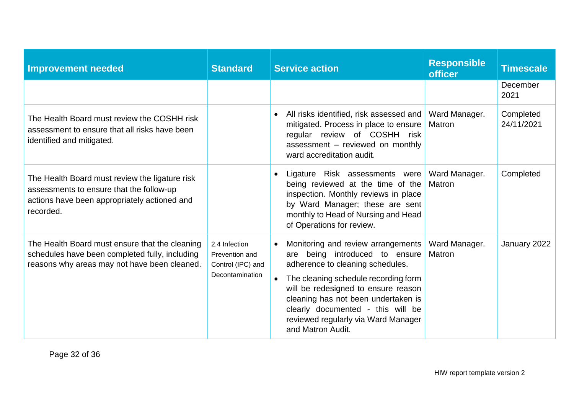| <b>Improvement needed</b>                                                                                                                               | <b>Standard</b>                                                         | <b>Responsible</b><br><b>Service action</b><br><b>officer</b>                                                                                                                                                                                                                                                                                                           | <b>Timescale</b>        |
|---------------------------------------------------------------------------------------------------------------------------------------------------------|-------------------------------------------------------------------------|-------------------------------------------------------------------------------------------------------------------------------------------------------------------------------------------------------------------------------------------------------------------------------------------------------------------------------------------------------------------------|-------------------------|
|                                                                                                                                                         |                                                                         |                                                                                                                                                                                                                                                                                                                                                                         | December<br>2021        |
| The Health Board must review the COSHH risk<br>assessment to ensure that all risks have been<br>identified and mitigated.                               |                                                                         | All risks identified, risk assessed and<br>Ward Manager.<br>$\bullet$<br>mitigated. Process in place to ensure<br><b>Matron</b><br>regular review of COSHH risk<br>assessment - reviewed on monthly<br>ward accreditation audit.                                                                                                                                        | Completed<br>24/11/2021 |
| The Health Board must review the ligature risk<br>assessments to ensure that the follow-up<br>actions have been appropriately actioned and<br>recorded. |                                                                         | Ward Manager.<br>Ligature Risk assessments were<br>$\bullet$<br>being reviewed at the time of the<br>Matron<br>inspection. Monthly reviews in place<br>by Ward Manager; these are sent<br>monthly to Head of Nursing and Head<br>of Operations for review.                                                                                                              | Completed               |
| The Health Board must ensure that the cleaning<br>schedules have been completed fully, including<br>reasons why areas may not have been cleaned.        | 2.4 Infection<br>Prevention and<br>Control (IPC) and<br>Decontamination | Monitoring and review arrangements<br>Ward Manager.<br>$\bullet$<br>are being introduced to ensure<br>Matron<br>adherence to cleaning schedules.<br>The cleaning schedule recording form<br>will be redesigned to ensure reason<br>cleaning has not been undertaken is<br>clearly documented - this will be<br>reviewed regularly via Ward Manager<br>and Matron Audit. | January 2022            |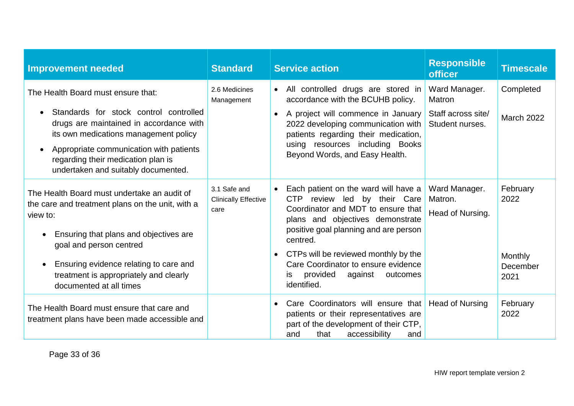| <b>Improvement needed</b>                                                                                                                                                        | <b>Standard</b>                                     | <b>Service action</b>                                                                                                                                                                                                 | <b>Responsible</b><br><b>officer</b>                             | <b>Timescale</b>                   |
|----------------------------------------------------------------------------------------------------------------------------------------------------------------------------------|-----------------------------------------------------|-----------------------------------------------------------------------------------------------------------------------------------------------------------------------------------------------------------------------|------------------------------------------------------------------|------------------------------------|
| The Health Board must ensure that:<br>Standards for stock control controlled<br>$\bullet$<br>drugs are maintained in accordance with<br>its own medications management policy    | 2.6 Medicines<br>Management                         | All controlled drugs are stored in<br>$\bullet$<br>accordance with the BCUHB policy.<br>A project will commence in January<br>$\bullet$<br>2022 developing communication with<br>patients regarding their medication, | Ward Manager.<br>Matron<br>Staff across site/<br>Student nurses. | Completed<br><b>March 2022</b>     |
| Appropriate communication with patients<br>$\bullet$<br>regarding their medication plan is<br>undertaken and suitably documented.                                                |                                                     | using resources including Books<br>Beyond Words, and Easy Health.                                                                                                                                                     |                                                                  |                                    |
| The Health Board must undertake an audit of<br>the care and treatment plans on the unit, with a<br>view to:                                                                      | 3.1 Safe and<br><b>Clinically Effective</b><br>care | Each patient on the ward will have a<br>$\bullet$<br>CTP review led by their Care<br>Coordinator and MDT to ensure that<br>plans and objectives demonstrate<br>positive goal planning and are person                  | Ward Manager.<br>Matron.<br>Head of Nursing.                     | February<br>2022                   |
| Ensuring that plans and objectives are<br>goal and person centred<br>Ensuring evidence relating to care and<br>treatment is appropriately and clearly<br>documented at all times |                                                     | centred.<br>CTPs will be reviewed monthly by the<br>$\bullet$<br>Care Coordinator to ensure evidence<br>provided<br>against<br>outcomes<br>is<br>identified.                                                          |                                                                  | <b>Monthly</b><br>December<br>2021 |
| The Health Board must ensure that care and<br>treatment plans have been made accessible and                                                                                      |                                                     | Care Coordinators will ensure that<br>$\bullet$<br>patients or their representatives are<br>part of the development of their CTP,<br>that<br>accessibility<br>and<br>and                                              | <b>Head of Nursing</b>                                           | February<br>2022                   |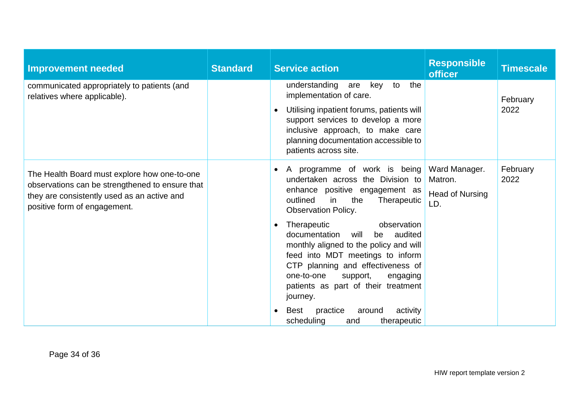| <b>Improvement needed</b>                                                                                                                                                      | <b>Standard</b> | <b>Service action</b>                                                                                                                                                                                                                                                                      | <b>Responsible</b><br><b>officer</b>                      | <b>Timescale</b> |
|--------------------------------------------------------------------------------------------------------------------------------------------------------------------------------|-----------------|--------------------------------------------------------------------------------------------------------------------------------------------------------------------------------------------------------------------------------------------------------------------------------------------|-----------------------------------------------------------|------------------|
| communicated appropriately to patients (and<br>relatives where applicable).                                                                                                    |                 | understanding are key to the<br>implementation of care.<br>Utilising inpatient forums, patients will<br>support services to develop a more<br>inclusive approach, to make care<br>planning documentation accessible to<br>patients across site.                                            |                                                           | February<br>2022 |
| The Health Board must explore how one-to-one<br>observations can be strengthened to ensure that<br>they are consistently used as an active and<br>positive form of engagement. |                 | A programme of work is being<br>$\bullet$<br>undertaken across the Division to<br>enhance positive engagement as<br>the<br>outlined<br>in<br>Therapeutic<br><b>Observation Policy.</b>                                                                                                     | Ward Manager.<br>Matron.<br><b>Head of Nursing</b><br>LD. | February<br>2022 |
|                                                                                                                                                                                |                 | observation<br>Therapeutic<br>$\bullet$<br>documentation<br>will<br>be audited<br>monthly aligned to the policy and will<br>feed into MDT meetings to inform<br>CTP planning and effectiveness of<br>one-to-one<br>support,<br>engaging<br>patients as part of their treatment<br>journey. |                                                           |                  |
|                                                                                                                                                                                |                 | practice<br>activity<br>Best<br>around<br>$\bullet$<br>scheduling<br>and<br>therapeutic                                                                                                                                                                                                    |                                                           |                  |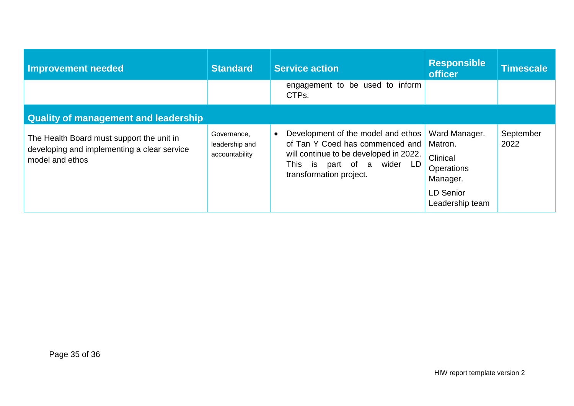| Improvement needed                                                                                          | <b>Standard</b>                                 | <b>Service action</b>                                                                                                                                                                 | <b>Responsible</b><br><b>officer</b>                                                                         | Timescale         |  |  |
|-------------------------------------------------------------------------------------------------------------|-------------------------------------------------|---------------------------------------------------------------------------------------------------------------------------------------------------------------------------------------|--------------------------------------------------------------------------------------------------------------|-------------------|--|--|
|                                                                                                             |                                                 | engagement to be used to inform<br>CTPs.                                                                                                                                              |                                                                                                              |                   |  |  |
| <b>Quality of management and leadership</b>                                                                 |                                                 |                                                                                                                                                                                       |                                                                                                              |                   |  |  |
| The Health Board must support the unit in<br>developing and implementing a clear service<br>model and ethos | Governance,<br>leadership and<br>accountability | Development of the model and ethos<br>$\bullet$<br>of Tan Y Coed has commenced and<br>will continue to be developed in 2022.<br>This is part of a wider LD<br>transformation project. | Ward Manager.<br>Matron.<br>Clinical<br><b>Operations</b><br>Manager.<br><b>LD Senior</b><br>Leadership team | September<br>2022 |  |  |